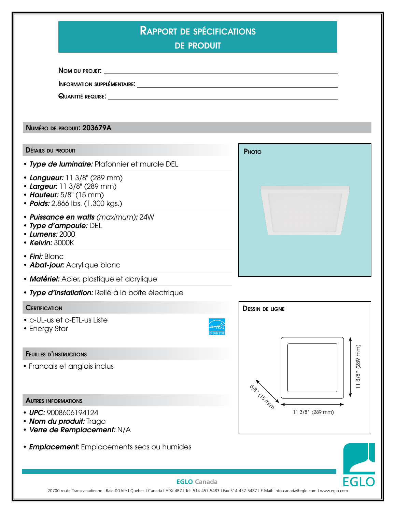| <b>RAPPORT DE SPÉCIFICATIONS</b><br><b>DE PRODUIT</b>                                                                      |                                    |                                 |
|----------------------------------------------------------------------------------------------------------------------------|------------------------------------|---------------------------------|
|                                                                                                                            |                                    |                                 |
| INFORMATION SUPPLÉMENTAIRE.                                                                                                |                                    |                                 |
|                                                                                                                            |                                    |                                 |
| NUMÉRO DE PRODUIT: 203679A                                                                                                 |                                    |                                 |
| <b>DÉTAILS DU PRODUIT</b>                                                                                                  | PHOTO                              |                                 |
| • Type de luminaire: Plafonnier et murale DEL                                                                              |                                    |                                 |
| • Longueur: 11 3/8" (289 mm)<br>• Largeur: 11 3/8" (289 mm)<br>• Hauteur: 5/8" (15 mm)<br>• Poids: 2.866 lbs. (1.300 kgs.) |                                    |                                 |
| • Puissance en watts (maximum): 24W<br>• Type d'ampoule: DEL<br>• Lumens: 2000<br>• Kelvin: 3000K                          |                                    |                                 |
| • Fini: Blanc<br><b>• Abat-jour: Acrylique blanc</b>                                                                       |                                    |                                 |
| • Matériel: Acier, plastique et acrylique                                                                                  |                                    |                                 |
| · Type d'installation: Relié à la boîte électrique                                                                         |                                    |                                 |
| <b>CERTIFICATION</b>                                                                                                       | <b>DESSIN DE LIGNE</b>             |                                 |
| • c-UL-us et c-ETL-us Liste<br>• Energy Star                                                                               |                                    |                                 |
| <b>FEUILLES D'INSTRUCTIONS</b>                                                                                             |                                    |                                 |
| • Francais et anglais inclus                                                                                               | $\mathcal{S}_{\mathcal{P}_{\phi}}$ | 3/8" (289 mm)<br>$\overline{a}$ |
| <b>AUTRES INFORMATIONS</b>                                                                                                 | CISMAD                             |                                 |
| • UPC: 9008606194124<br>• Nom du produit: Trago<br>• Verre de Remplacement: N/A                                            | 11 3/8" (289 mm)                   |                                 |
| • <b>Emplacement:</b> Emplacements secs ou humides                                                                         |                                    |                                 |
| <b>EGLO</b> Canada                                                                                                         |                                    | <b>EGLO</b>                     |